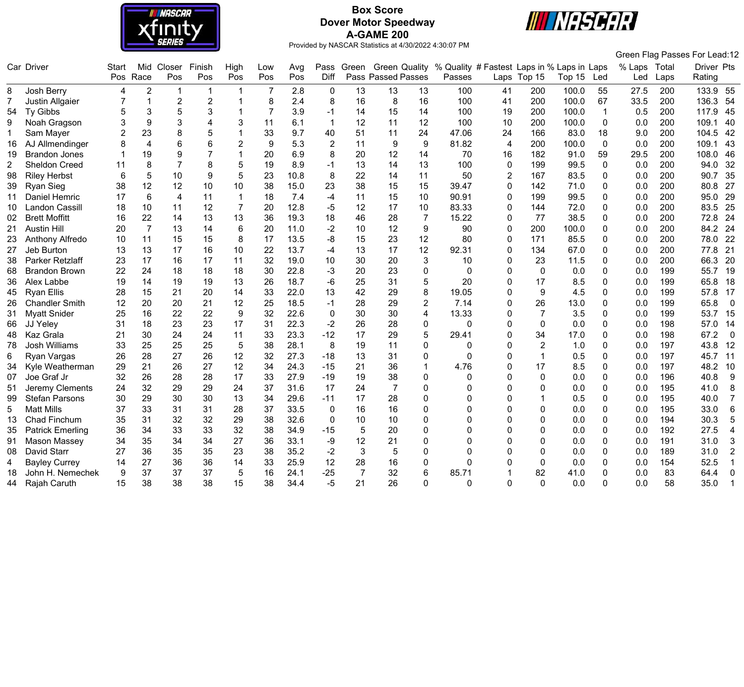

# **Box Score Dover Motor Speedway A-GAME 200**



Green Flag Passes For Lead:12

|    | Car Driver              | <b>Start</b> |                | Mid Closer       | Finish         | High            | Low            | Avg  | Pass           |                |                    |                | Green Green Quality % Quality # Fastest Laps in % Laps in Laps |                |                  |        |                | % Laps | Total | Driver Pts |                |
|----|-------------------------|--------------|----------------|------------------|----------------|-----------------|----------------|------|----------------|----------------|--------------------|----------------|----------------------------------------------------------------|----------------|------------------|--------|----------------|--------|-------|------------|----------------|
|    |                         | Pos          | Race           | Pos              | Pos            | Pos             | Pos            | Pos  | Diff           |                | Pass Passed Passes |                | Passes                                                         |                | Laps Top 15      | Top 15 | Led            | Led    | Laps  | Rating     |                |
| 8  | Josh Berry              | 4            | $\overline{2}$ | -1               | -1             |                 |                | 2.8  | 0              | 13             | 13                 | 13             | 100                                                            | 41             | 200              | 100.0  | 55             | 27.5   | 200   | 133.9      | 55             |
|    | Justin Allgaier         |              | $\mathbf{1}$   | $\boldsymbol{2}$ | $\overline{2}$ |                 | 8              | 2.4  | 8              | 16             | 8                  | 16             | 100                                                            | 41             | 200              | 100.0  | 67             | 33.5   | 200   | 136.3      | 54             |
| 54 | Ty Gibbs                |              | 3              | 5                | 3              |                 | $\overline{7}$ | 3.9  | $-1$           | 14             | 15                 | 14             | 100                                                            | 19             | 200              | 100.0  | $\overline{1}$ | 0.5    | 200   | 117.9      | 45             |
| 9  | Noah Gragson            | 3            | 9              | 3                |                | 3               | 11             | 6.1  | $\mathbf{1}$   | 12             | 11                 | 12             | 100                                                            | 10             | 200              | 100.0  | $\mathbf{0}$   | 0.0    | 200   | 109.1      | 40             |
| 1  | Sam Mayer               |              | 23             | 8                | 5              |                 | 33             | 9.7  | 40             | 51             | 11                 | 24             | 47.06                                                          | 24             | 166              | 83.0   | 18             | 9.0    | 200   | 104.5      | 42             |
| 16 | AJ Allmendinger         |              | $\overline{4}$ | 6                | 6              | $\overline{2}$  | 9              | 5.3  | $\overline{2}$ | 11             | 9                  | 9              | 81.82                                                          | $\overline{4}$ | 200              | 100.0  | $\mathbf{0}$   | 0.0    | 200   | 109.1      | 43             |
| 19 | <b>Brandon Jones</b>    |              | 19             | 9                |                | 1               | 20             | 6.9  | 8              | 20             | 12                 | 14             | 70                                                             | 16             | 182              | 91.0   | 59             | 29.5   | 200   | 108.0      | 46             |
| 2  | <b>Sheldon Creed</b>    | 11           | 8              | $\overline{7}$   | 8              | 5               | 19             | 8.9  | $-1$           | 13             | 14                 | 13             | 100                                                            | $\mathbf 0$    | 199              | 99.5   | $\mathbf 0$    | 0.0    | 200   | 94.0       | 32             |
| 98 | <b>Riley Herbst</b>     | 6            | 5              | 10               | 9              | 5               | 23             | 10.8 | 8              | 22             | 14                 | 11             | 50                                                             | $\overline{2}$ | 167              | 83.5   | 0              | 0.0    | 200   | 90.7       | 35             |
| 39 | <b>Ryan Sieg</b>        | 38           | 12             | 12               | 10             | 10              | 38             | 15.0 | 23             | 38             | 15                 | 15             | 39.47                                                          | 0              | 142              | 71.0   | 0              | 0.0    | 200   | 80.8       | 27             |
| 11 | Daniel Hemric           | 17           | 6              | $\overline{4}$   | 11             | $\mathbf{1}$    | 18             | 7.4  | -4             | 11             | 15                 | 10             | 90.91                                                          | 0              | 199              | 99.5   | 0              | 0.0    | 200   | 95.0       | 29             |
| 10 | Landon Cassill          | 18           | 10             | 11               | 12             | $\overline{7}$  | 20             | 12.8 | -5             | 12             | 17                 | 10             | 83.33                                                          | $\Omega$       | 144              | 72.0   | $\Omega$       | 0.0    | 200   | 83.5       | 25             |
| 02 | <b>Brett Moffitt</b>    | 16           | 22             | 14               | 13             | 13              | 36             | 19.3 | 18             | 46             | 28                 | $\overline{7}$ | 15.22                                                          | $\Omega$       | 77               | 38.5   | 0              | 0.0    | 200   | 72.8       | 24             |
|    | <b>Austin Hill</b>      | 20           | $\overline{7}$ | 13               | 14             | $6\phantom{1}6$ | 20             | 11.0 | $-2$           | 10             | 12                 | 9              | 90                                                             | $\overline{0}$ | 200              | 100.0  | 0              | 0.0    | 200   | 84.2       | 24             |
| 23 | Anthony Alfredo         | 10           | 11             | 15               | 15             | 8               | 17             | 13.5 | -8             | 15             | 23                 | 12             | 80                                                             | 0              | 171              | 85.5   | 0              | 0.0    | 200   | 78.0       | 22             |
| 27 | Jeb Burton              | 13           | 13             | 17               | 16             | 10              | 22             | 13.7 | $-4$           | 13             | 17                 | 12             | 92.31                                                          | 0              | 134              | 67.0   | 0              | 0.0    | 200   | 77.8       | 21             |
| 38 | Parker Retzlaff         | 23           | 17             | 16               | 17             | 11              | 32             | 19.0 | 10             | 30             | 20                 | 3              | 10                                                             | $\mathbf 0$    | 23               | 11.5   | 0              | 0.0    | 200   | 66.3       | 20             |
| 68 | <b>Brandon Brown</b>    | 22           | 24             | 18               | 18             | 18              | 30             | 22.8 | -3             | 20             | 23                 | $\mathbf 0$    | 0                                                              | $\Omega$       | $\mathbf 0$      | 0.0    | $\Omega$       | 0.0    | 199   | 55.7       | 19             |
| 36 | Alex Labbe              | 19           | 14             | 19               | 19             | 13              | 26             | 18.7 | $-6$           | 25             | 31                 | 5              | 20                                                             | $\Omega$       | 17               | 8.5    | $\Omega$       | 0.0    | 199   | 65.8       | 18             |
| 45 | <b>Ryan Ellis</b>       | 28           | 15             | 21               | 20             | 14              | 33             | 22.0 | 13             | 42             | 29                 | 8              | 19.05                                                          | $\Omega$       | 9                | 4.5    | 0              | 0.0    | 199   | 57.8       | 17             |
| 26 | <b>Chandler Smith</b>   | 12           | 20             | 20               | 21             | 12              | 25             | 18.5 | $-1$           | 28             | 29                 | $\overline{2}$ | 7.14                                                           | $\Omega$       | 26               | 13.0   | 0              | 0.0    | 199   | 65.8       | $\mathbf 0$    |
| 31 | <b>Myatt Snider</b>     | 25           | 16             | 22               | 22             | 9               | 32             | 22.6 | $\mathbf{0}$   | 30             | 30                 | 4              | 13.33                                                          | $\Omega$       | 7                | 3.5    | $\Omega$       | 0.0    | 199   | 53.7       | 15             |
| 66 | JJ Yeley                | 31           | 18             | 23               | 23             | 17              | 31             | 22.3 | $-2$           | 26             | 28                 | 0              | 0                                                              | $\mathbf 0$    | $\boldsymbol{0}$ | 0.0    | 0              | 0.0    | 198   | 57.0       | 14             |
| 48 | Kaz Grala               | 21           | 30             | 24               | 24             | 11              | 33             | 23.3 | $-12$          | 17             | 29                 | 5              | 29.41                                                          | $\Omega$       | 34               | 17.0   | 0              | 0.0    | 198   | 67.2       | $\overline{0}$ |
| 78 | <b>Josh Williams</b>    | 33           | 25             | 25               | 25             | 5               | 38             | 28.1 | 8              | 19             | 11                 | $\mathbf 0$    | 0                                                              | $\Omega$       | $\overline{2}$   | 1.0    | $\Omega$       | 0.0    | 197   | 43.8       | 12             |
| 6  | Ryan Vargas             | 26           | 28             | 27               | 26             | 12              | 32             | 27.3 | $-18$          | 13             | 31                 | 0              | $\Omega$                                                       | $\Omega$       | $\mathbf 1$      | 0.5    | 0              | 0.0    | 197   | 45.7       | 11             |
| 34 | Kyle Weatherman         | 29           | 21             | 26               | 27             | 12              | 34             | 24.3 | $-15$          | 21             | 36                 |                | 4.76                                                           | $\Omega$       | 17               | 8.5    | 0              | 0.0    | 197   | 48.2       | 10             |
| 07 | Joe Graf Jr             | 32           | 26             | 28               | 28             | 17              | 33             | 27.9 | $-19$          | 19             | 38                 | $\Omega$       | 0                                                              | $\Omega$       | 0                | 0.0    | 0              | 0.0    | 196   | 40.8       | 9              |
| 51 | Jeremy Clements         | 24           | 32             | 29               | 29             | 24              | 37             | 31.6 | 17             | 24             | $\overline{7}$     | $\Omega$       | N                                                              | $\Omega$       | 0                | 0.0    | ∩              | 0.0    | 195   | 41.0       | 8              |
| 99 | <b>Stefan Parsons</b>   | 30           | 29             | 30               | 30             | 13              | 34             | 29.6 | $-11$          | 17             | 28                 | 0              |                                                                | 0              |                  | 0.5    | 0              | 0.0    | 195   | 40.0       | $\overline{7}$ |
| 5  | <b>Matt Mills</b>       | 37           | 33             | 31               | 31             | 28              | 37             | 33.5 | 0              | 16             | 16                 | $\mathbf 0$    |                                                                | 0              | $\mathbf 0$      | 0.0    | 0              | 0.0    | 195   | 33.0       | $6\phantom{1}$ |
| 13 | Chad Finchum            | 35           | 31             | 32               | 32             | 29              | 38             | 32.6 | $\mathbf 0$    | 10             | 10                 | $\mathbf 0$    | 0                                                              | $\Omega$       | 0                | 0.0    | 0              | 0.0    | 194   | 30.3       | 5              |
| 35 | <b>Patrick Emerling</b> | 36           | 34             | 33               | 33             | 32              | 38             | 34.9 | $-15$          | 5              | 20                 | $\Omega$       | 0                                                              | $\Omega$       | $\Omega$         | 0.0    | 0              | 0.0    | 192   | 27.5       | $\overline{4}$ |
| 91 | Mason Massey            | 34           | 35             | 34               | 34             | 27              | 36             | 33.1 | -9             | 12             | 21                 | $\mathbf 0$    | 0                                                              | $\Omega$       | 0                | 0.0    | 0              | 0.0    | 191   | 31.0       | 3              |
| 08 | David Starr             | 27           | 36             | 35               | 35             | 23              | 38             | 35.2 | $-2$           | 3              | 5                  | $\Omega$       | N                                                              | $\Omega$       | 0                | 0.0    | 0              | 0.0    | 189   | 31.0       | $\overline{2}$ |
| 4  | <b>Bayley Currey</b>    | 14           | 27             | 36               | 36             | 14              | 33             | 25.9 | 12             | 28             | 16                 | 0              | U                                                              | ∩              | $\mathbf 0$      | 0.0    | ŋ              | 0.0    | 154   | 52.5       | $\mathbf{1}$   |
| 18 | John H. Nemechek        | 9            | 37             | 37               | 37             | 5               | 16             | 24.1 | $-25$          | $\overline{7}$ | 32                 | 6              | 85.71                                                          |                | 82               | 41.0   | 0              | 0.0    | 83    | 64.4       | 0              |
|    | 44 Rajah Caruth         | 15           | 38             | 38               | 38             | 15              | 38             | 34.4 | -5             | 21             | 26                 | $\Omega$       | U                                                              | $\Omega$       | $\mathbf 0$      | 0.0    | U              | 0.0    | 58    | 35.0       | $\mathbf 1$    |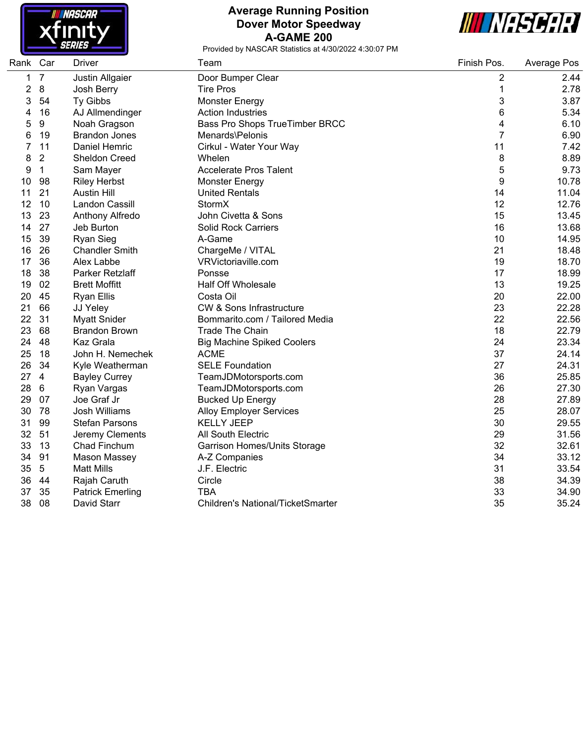

## **Average Running Position Dover Motor Speedway A-GAME 200**



| Rank | Car              | Driver                  | Team                                     | Finish Pos.    | Average Pos |
|------|------------------|-------------------------|------------------------------------------|----------------|-------------|
| 1    | $\overline{7}$   | Justin Allgaier         | Door Bumper Clear                        | 2              | 2.44        |
| 2    | $\bf 8$          | Josh Berry              | <b>Tire Pros</b>                         | $\mathbf{1}$   | 2.78        |
| 3    | 54               | Ty Gibbs                | <b>Monster Energy</b>                    | 3              | 3.87        |
| 4    | 16               | AJ Allmendinger         | <b>Action Industries</b>                 | 6              | 5.34        |
| 5    | $\boldsymbol{9}$ | Noah Gragson            | Bass Pro Shops TrueTimber BRCC           | 4              | 6.10        |
| 6    | 19               | <b>Brandon Jones</b>    | Menards\Pelonis                          | $\overline{7}$ | 6.90        |
| 7    | 11               | Daniel Hemric           | Cirkul - Water Your Way                  | 11             | 7.42        |
| 8    | $\overline{2}$   | <b>Sheldon Creed</b>    | Whelen                                   | 8              | 8.89        |
| 9    | 1                | Sam Mayer               | <b>Accelerate Pros Talent</b>            | 5              | 9.73        |
| 10   | 98               | <b>Riley Herbst</b>     | <b>Monster Energy</b>                    | 9              | 10.78       |
| 11   | 21               | <b>Austin Hill</b>      | <b>United Rentals</b>                    | 14             | 11.04       |
| 12   | 10               | Landon Cassill          | StormX                                   | 12             | 12.76       |
| 13   | 23               | Anthony Alfredo         | John Civetta & Sons                      | 15             | 13.45       |
| 14   | 27               | Jeb Burton              | <b>Solid Rock Carriers</b>               | 16             | 13.68       |
| 15   | 39               | <b>Ryan Sieg</b>        | A-Game                                   | 10             | 14.95       |
| 16   | 26               | <b>Chandler Smith</b>   | ChargeMe / VITAL                         | 21             | 18.48       |
| 17   | 36               | Alex Labbe              | VRVictoriaville.com                      | 19             | 18.70       |
| 18   | 38               | Parker Retzlaff         | Ponsse                                   | 17             | 18.99       |
| 19   | 02               | <b>Brett Moffitt</b>    | <b>Half Off Wholesale</b>                | 13             | 19.25       |
| 20   | 45               | <b>Ryan Ellis</b>       | Costa Oil                                | 20             | 22.00       |
| 21   | 66               | JJ Yeley                | <b>CW &amp; Sons Infrastructure</b>      | 23             | 22.28       |
| 22   | 31               | <b>Myatt Snider</b>     | Bommarito.com / Tailored Media           | 22             | 22.56       |
| 23   | 68               | <b>Brandon Brown</b>    | <b>Trade The Chain</b>                   | 18             | 22.79       |
| 24   | 48               | Kaz Grala               | <b>Big Machine Spiked Coolers</b>        | 24             | 23.34       |
| 25   | 18               | John H. Nemechek        | <b>ACME</b>                              | 37             | 24.14       |
| 26   | 34               | Kyle Weatherman         | <b>SELE Foundation</b>                   | 27             | 24.31       |
| 27   | $\overline{4}$   | <b>Bayley Currey</b>    | TeamJDMotorsports.com                    | 36             | 25.85       |
| 28   | 6                | Ryan Vargas             | TeamJDMotorsports.com                    | 26             | 27.30       |
| 29   | 07               | Joe Graf Jr             | <b>Bucked Up Energy</b>                  | 28             | 27.89       |
| 30   | 78               | Josh Williams           | <b>Alloy Employer Services</b>           | 25             | 28.07       |
| 31   | 99               | <b>Stefan Parsons</b>   | <b>KELLY JEEP</b>                        | 30             | 29.55       |
| 32   | 51               | Jeremy Clements         | All South Electric                       | 29             | 31.56       |
| 33   | 13               | Chad Finchum            | Garrison Homes/Units Storage             | 32             | 32.61       |
| 34   | 91               | Mason Massey            | A-Z Companies                            | 34             | 33.12       |
| 35   | $\sqrt{5}$       | <b>Matt Mills</b>       | J.F. Electric                            | 31             | 33.54       |
| 36   | 44               | Rajah Caruth            | Circle                                   | 38             | 34.39       |
| 37   | 35               | <b>Patrick Emerling</b> | <b>TBA</b>                               | 33             | 34.90       |
| 38   | 08               | David Starr             | <b>Children's National/TicketSmarter</b> | 35             | 35.24       |
|      |                  |                         |                                          |                |             |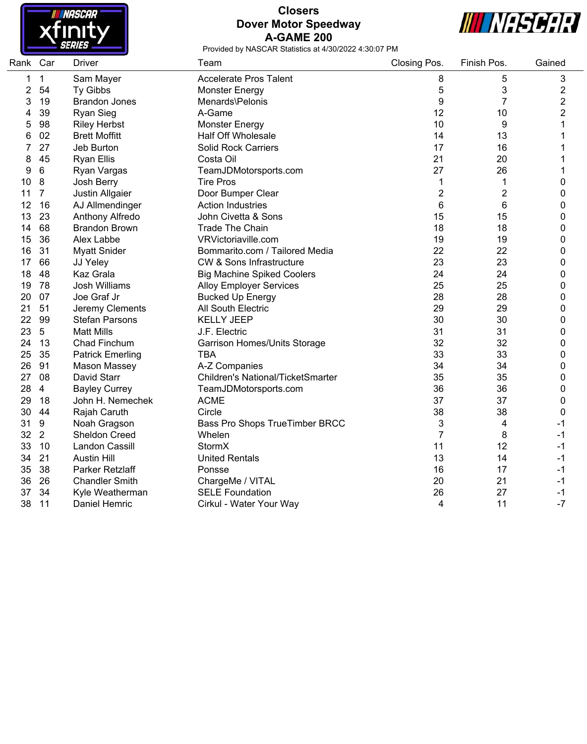

#### **Closers Dover Motor Speedway A-GAME 200**



| Rank Car |                | <b>Driver</b>           | Team                                     | Closing Pos.   | Finish Pos.    | Gained         |
|----------|----------------|-------------------------|------------------------------------------|----------------|----------------|----------------|
| 1        | $\mathbf 1$    | Sam Mayer               | <b>Accelerate Pros Talent</b>            | 8              | 5              | 3              |
| 2        | 54             | Ty Gibbs                | Monster Energy                           | 5              | 3              | 2              |
| 3        | 19             | <b>Brandon Jones</b>    | Menards\Pelonis                          | 9              | 7              | $\overline{2}$ |
| 4        | 39             | <b>Ryan Sieg</b>        | A-Game                                   | 12             | 10             | $\overline{2}$ |
| 5        | 98             | <b>Riley Herbst</b>     | <b>Monster Energy</b>                    | 10             | 9              | 1              |
| 6        | 02             | <b>Brett Moffitt</b>    | <b>Half Off Wholesale</b>                | 14             | 13             | 1              |
| 7        | 27             | Jeb Burton              | <b>Solid Rock Carriers</b>               | 17             | 16             | 1              |
| 8        | 45             | <b>Ryan Ellis</b>       | Costa Oil                                | 21             | 20             |                |
| 9        | 6              | Ryan Vargas             | TeamJDMotorsports.com                    | 27             | 26             | 1              |
| 10       | 8              | Josh Berry              | <b>Tire Pros</b>                         | 1              | 1              | 0              |
| 11       | 7              | Justin Allgaier         | Door Bumper Clear                        | $\overline{c}$ | $\overline{2}$ | 0              |
| 12       | 16             | AJ Allmendinger         | <b>Action Industries</b>                 | 6              | 6              | 0              |
| 13       | 23             | Anthony Alfredo         | John Civetta & Sons                      | 15             | 15             | 0              |
| 14       | 68             | <b>Brandon Brown</b>    | <b>Trade The Chain</b>                   | 18             | 18             | 0              |
| 15       | 36             | Alex Labbe              | VRVictoriaville.com                      | 19             | 19             | 0              |
| 16       | 31             | <b>Myatt Snider</b>     | Bommarito.com / Tailored Media           | 22             | 22             | 0              |
| 17       | 66             | JJ Yeley                | <b>CW &amp; Sons Infrastructure</b>      | 23             | 23             | 0              |
| 18       | 48             | Kaz Grala               | <b>Big Machine Spiked Coolers</b>        | 24             | 24             | 0              |
| 19       | 78             | <b>Josh Williams</b>    | <b>Alloy Employer Services</b>           | 25             | 25             | 0              |
| 20       | 07             | Joe Graf Jr             | <b>Bucked Up Energy</b>                  | 28             | 28             | 0              |
| 21       | 51             | Jeremy Clements         | All South Electric                       | 29             | 29             | 0              |
| 22       | 99             | <b>Stefan Parsons</b>   | <b>KELLY JEEP</b>                        | 30             | 30             | 0              |
| 23       | 5              | <b>Matt Mills</b>       | J.F. Electric                            | 31             | 31             | 0              |
| 24       | 13             | <b>Chad Finchum</b>     | Garrison Homes/Units Storage             | 32             | 32             | 0              |
| 25       | 35             | <b>Patrick Emerling</b> | <b>TBA</b>                               | 33             | 33             | 0              |
| 26       | 91             | Mason Massey            | A-Z Companies                            | 34             | 34             | 0              |
| 27       | 08             | <b>David Starr</b>      | <b>Children's National/TicketSmarter</b> | 35             | 35             | 0              |
| 28       | $\overline{4}$ | <b>Bayley Currey</b>    | TeamJDMotorsports.com                    | 36             | 36             | 0              |
| 29       | 18             | John H. Nemechek        | <b>ACME</b>                              | 37             | 37             | 0              |
| 30       | 44             | Rajah Caruth            | Circle                                   | 38             | 38             | 0              |
| 31       | $9\,$          | Noah Gragson            | Bass Pro Shops TrueTimber BRCC           | 3              | 4              | -1             |
| 32       | $\overline{2}$ | <b>Sheldon Creed</b>    | Whelen                                   | 7              | 8              | $-1$           |
| 33       | 10             | Landon Cassill          | StormX                                   | 11             | 12             | -1             |
| 34       | 21             | <b>Austin Hill</b>      | <b>United Rentals</b>                    | 13             | 14             | $-1$           |
| 35       | 38             | Parker Retzlaff         | Ponsse                                   | 16             | 17             | $-1$           |
| 36       | 26             | <b>Chandler Smith</b>   | ChargeMe / VITAL                         | 20             | 21             | $-1$           |
| 37       | 34             | Kyle Weatherman         | <b>SELE Foundation</b>                   | 26             | 27             | $-1$           |
| 38       | 11             | Daniel Hemric           | Cirkul - Water Your Way                  | 4              | 11             | $-7$           |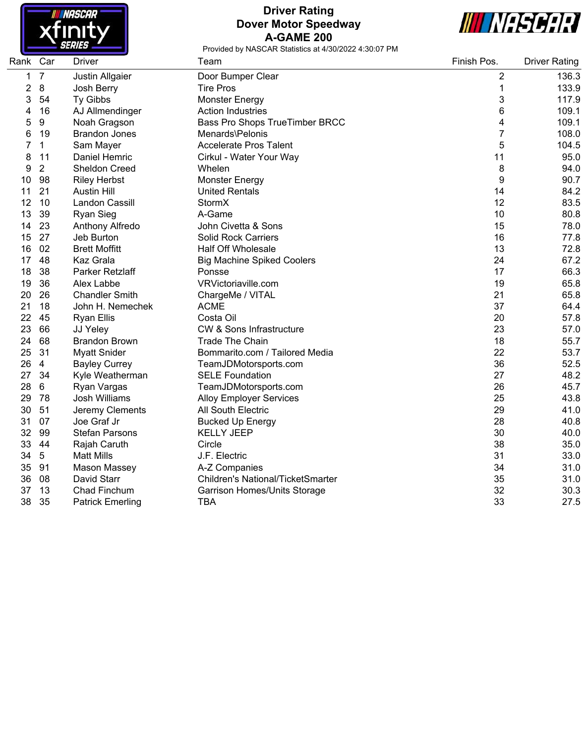

## **Driver Rating Dover Motor Speedway A-GAME 200**



| Rank Car |                 | <b>Driver</b>           | Team                                     | Finish Pos.    | <b>Driver Rating</b> |
|----------|-----------------|-------------------------|------------------------------------------|----------------|----------------------|
| 1        | $\overline{7}$  | Justin Allgaier         | Door Bumper Clear                        | 2              | 136.3                |
| 2        | 8               | Josh Berry              | <b>Tire Pros</b>                         | 1              | 133.9                |
| 3        | 54              | <b>Ty Gibbs</b>         | Monster Energy                           | 3              | 117.9                |
| 4        | 16              | AJ Allmendinger         | <b>Action Industries</b>                 | 6              | 109.1                |
| 5        | 9               | Noah Gragson            | Bass Pro Shops TrueTimber BRCC           | 4              | 109.1                |
| 6        | 19              | <b>Brandon Jones</b>    | Menards\Pelonis                          | $\overline{7}$ | 108.0                |
| 7        | 1               | Sam Mayer               | <b>Accelerate Pros Talent</b>            | 5              | 104.5                |
| 8        | 11              | Daniel Hemric           | Cirkul - Water Your Way                  | 11             | 95.0                 |
| 9        | $\overline{2}$  | Sheldon Creed           | Whelen                                   | 8              | 94.0                 |
| 10       | 98              | <b>Riley Herbst</b>     | <b>Monster Energy</b>                    | 9              | 90.7                 |
| 11       | 21              | <b>Austin Hill</b>      | <b>United Rentals</b>                    | 14             | 84.2                 |
| 12       | 10              | Landon Cassill          | StormX                                   | 12             | 83.5                 |
| 13       | 39              | <b>Ryan Sieg</b>        | A-Game                                   | 10             | 80.8                 |
| 14       | 23              | Anthony Alfredo         | John Civetta & Sons                      | 15             | 78.0                 |
| 15       | 27              | Jeb Burton              | <b>Solid Rock Carriers</b>               | 16             | 77.8                 |
| 16       | 02              | <b>Brett Moffitt</b>    | <b>Half Off Wholesale</b>                | 13             | 72.8                 |
| 17       | 48              | Kaz Grala               | <b>Big Machine Spiked Coolers</b>        | 24             | 67.2                 |
| 18       | 38              | Parker Retzlaff         | Ponsse                                   | 17             | 66.3                 |
| 19       | 36              | Alex Labbe              | VRVictoriaville.com                      | 19             | 65.8                 |
| 20       | 26              | <b>Chandler Smith</b>   | ChargeMe / VITAL                         | 21             | 65.8                 |
| 21       | 18              | John H. Nemechek        | <b>ACME</b>                              | 37             | 64.4                 |
| 22       | 45              | <b>Ryan Ellis</b>       | Costa Oil                                | 20             | 57.8                 |
| 23       | 66              | JJ Yeley                | <b>CW &amp; Sons Infrastructure</b>      | 23             | 57.0                 |
| 24       | 68              | <b>Brandon Brown</b>    | <b>Trade The Chain</b>                   | 18             | 55.7                 |
| 25       | 31              | <b>Myatt Snider</b>     | Bommarito.com / Tailored Media           | 22             | 53.7                 |
| 26       | $\overline{4}$  | <b>Bayley Currey</b>    | TeamJDMotorsports.com                    | 36             | 52.5                 |
| 27       | 34              | Kyle Weatherman         | <b>SELE Foundation</b>                   | 27             | 48.2                 |
| 28       | 6               | Ryan Vargas             | TeamJDMotorsports.com                    | 26             | 45.7                 |
| 29       | 78              | Josh Williams           | <b>Alloy Employer Services</b>           | 25             | 43.8                 |
| 30       | 51              | Jeremy Clements         | All South Electric                       | 29             | 41.0                 |
| 31       | 07              | Joe Graf Jr             | <b>Bucked Up Energy</b>                  | 28             | 40.8                 |
| 32       | 99              | <b>Stefan Parsons</b>   | <b>KELLY JEEP</b>                        | 30             | 40.0                 |
| 33       | 44              | Rajah Caruth            | Circle                                   | 38             | 35.0                 |
| 34       | $5\phantom{.0}$ | <b>Matt Mills</b>       | J.F. Electric                            | 31             | 33.0                 |
| 35       | 91              | Mason Massey            | A-Z Companies                            | 34             | 31.0                 |
| 36       | 08              | David Starr             | <b>Children's National/TicketSmarter</b> | 35             | 31.0                 |
| 37       | 13              | Chad Finchum            | Garrison Homes/Units Storage             | 32             | 30.3                 |
| 38       | 35              | <b>Patrick Emerling</b> | <b>TBA</b>                               | 33             | 27.5                 |
|          |                 |                         |                                          |                |                      |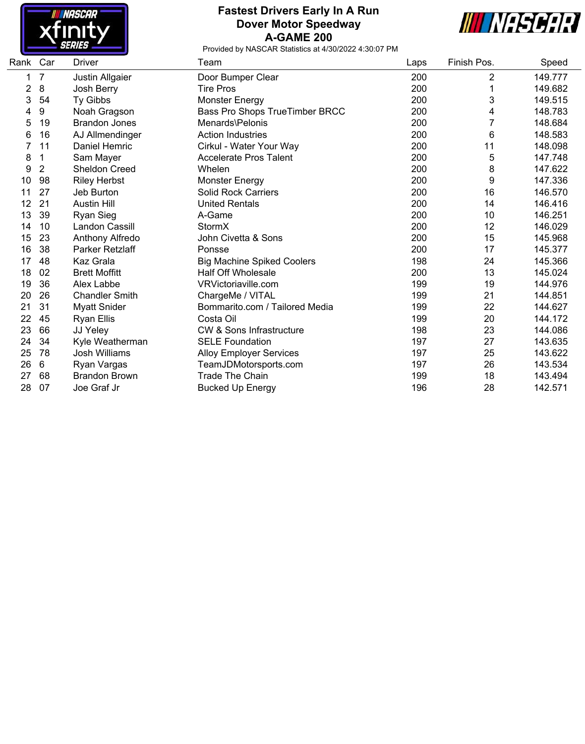

#### **Fastest Drivers Early In A Run Dover Motor Speedway A-GAME 200**



| Rank | Car            | Driver                | Team                                | Laps | Finish Pos.    | Speed   |
|------|----------------|-----------------------|-------------------------------------|------|----------------|---------|
| 1    | $\overline{7}$ | Justin Allgaier       | Door Bumper Clear                   | 200  | $\overline{2}$ | 149.777 |
| 2    | 8              | Josh Berry            | <b>Tire Pros</b>                    | 200  |                | 149.682 |
| 3    | 54             | Ty Gibbs              | Monster Energy                      | 200  | 3              | 149.515 |
| 4    | 9              | Noah Gragson          | Bass Pro Shops TrueTimber BRCC      | 200  | 4              | 148.783 |
| 5    | 19             | <b>Brandon Jones</b>  | Menards\Pelonis                     | 200  |                | 148.684 |
| 6    | 16             | AJ Allmendinger       | <b>Action Industries</b>            | 200  | 6              | 148.583 |
|      | 11             | Daniel Hemric         | Cirkul - Water Your Way             | 200  | 11             | 148.098 |
| 8    | 1              | Sam Mayer             | <b>Accelerate Pros Talent</b>       | 200  | 5              | 147.748 |
| 9    | $\overline{2}$ | <b>Sheldon Creed</b>  | Whelen                              | 200  | 8              | 147.622 |
| 10   | 98             | <b>Riley Herbst</b>   | <b>Monster Energy</b>               | 200  | 9              | 147.336 |
| 11   | 27             | Jeb Burton            | <b>Solid Rock Carriers</b>          | 200  | 16             | 146.570 |
| 12   | 21             | <b>Austin Hill</b>    | <b>United Rentals</b>               | 200  | 14             | 146.416 |
| 13   | 39             | <b>Ryan Sieg</b>      | A-Game                              | 200  | 10             | 146.251 |
| 14   | 10             | <b>Landon Cassill</b> | StormX                              | 200  | 12             | 146.029 |
| 15   | 23             | Anthony Alfredo       | John Civetta & Sons                 | 200  | 15             | 145.968 |
| 16   | 38             | Parker Retzlaff       | Ponsse                              | 200  | 17             | 145.377 |
| 17   | 48             | Kaz Grala             | <b>Big Machine Spiked Coolers</b>   | 198  | 24             | 145.366 |
| 18   | 02             | <b>Brett Moffitt</b>  | <b>Half Off Wholesale</b>           | 200  | 13             | 145.024 |
| 19   | 36             | Alex Labbe            | VRVictoriaville.com                 | 199  | 19             | 144.976 |
| 20   | 26             | <b>Chandler Smith</b> | ChargeMe / VITAL                    | 199  | 21             | 144.851 |
| 21   | 31             | <b>Myatt Snider</b>   | Bommarito.com / Tailored Media      | 199  | 22             | 144.627 |
| 22   | 45             | <b>Ryan Ellis</b>     | Costa Oil                           | 199  | 20             | 144.172 |
| 23   | 66             | JJ Yeley              | <b>CW &amp; Sons Infrastructure</b> | 198  | 23             | 144.086 |
| 24   | 34             | Kyle Weatherman       | <b>SELE Foundation</b>              | 197  | 27             | 143.635 |
| 25   | 78             | Josh Williams         | <b>Alloy Employer Services</b>      | 197  | 25             | 143.622 |
| 26   | 6              | Ryan Vargas           | TeamJDMotorsports.com               | 197  | 26             | 143.534 |
| 27   | 68             | <b>Brandon Brown</b>  | <b>Trade The Chain</b>              | 199  | 18             | 143.494 |
| 28   | 07             | Joe Graf Jr           | <b>Bucked Up Energy</b>             | 196  | 28             | 142.571 |
|      |                |                       |                                     |      |                |         |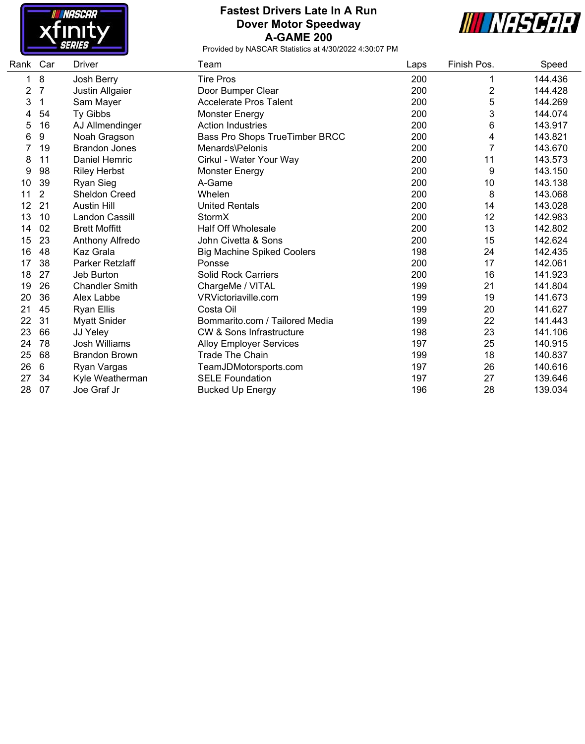

### **Fastest Drivers Late In A Run Dover Motor Speedway A-GAME 200**



| Car            | Driver                | Team                                | Laps                  | Finish Pos.    | Speed   |
|----------------|-----------------------|-------------------------------------|-----------------------|----------------|---------|
| 8              | Josh Berry            | <b>Tire Pros</b>                    | 200                   | 1              | 144.436 |
| 7              |                       | Door Bumper Clear                   | 200                   | 2              | 144.428 |
| 1              | Sam Mayer             | <b>Accelerate Pros Talent</b>       | 200                   | 5              | 144.269 |
| 54             | Ty Gibbs              | Monster Energy                      | 200                   | 3              | 144.074 |
| 16             | AJ Allmendinger       | <b>Action Industries</b>            | 200                   | 6              | 143.917 |
| 9              | Noah Gragson          | Bass Pro Shops TrueTimber BRCC      | 200                   | 4              | 143.821 |
| 19             | <b>Brandon Jones</b>  | Menards\Pelonis                     | 200                   | $\overline{7}$ | 143.670 |
| 11             | Daniel Hemric         | Cirkul - Water Your Way             | 200                   | 11             | 143.573 |
| 98             | <b>Riley Herbst</b>   | <b>Monster Energy</b>               | 200                   | 9              | 143.150 |
| 39             | <b>Ryan Sieg</b>      | A-Game                              | 200                   | 10             | 143.138 |
| $\overline{2}$ | <b>Sheldon Creed</b>  | Whelen                              | 200                   | 8              | 143.068 |
| 21             | <b>Austin Hill</b>    | <b>United Rentals</b>               | 200                   | 14             | 143.028 |
| 10             | <b>Landon Cassill</b> | StormX                              | 200                   | 12             | 142.983 |
| 02             | <b>Brett Moffitt</b>  | <b>Half Off Wholesale</b>           | 200                   | 13             | 142.802 |
| 23             | Anthony Alfredo       | John Civetta & Sons                 | 200                   | 15             | 142.624 |
| 48             | Kaz Grala             | <b>Big Machine Spiked Coolers</b>   | 198                   | 24             | 142.435 |
| 38             | Parker Retzlaff       | Ponsse                              | 200                   | 17             | 142.061 |
| 27             | Jeb Burton            | <b>Solid Rock Carriers</b>          | 200                   | 16             | 141.923 |
| 26             | <b>Chandler Smith</b> | ChargeMe / VITAL                    | 199                   | 21             | 141.804 |
| 36             | Alex Labbe            | VRVictoriaville.com                 | 199                   | 19             | 141.673 |
| 45             | <b>Ryan Ellis</b>     | Costa Oil                           | 199                   | 20             | 141.627 |
| 31             | <b>Myatt Snider</b>   | Bommarito.com / Tailored Media      | 199                   | 22             | 141.443 |
| 66             | JJ Yeley              | <b>CW &amp; Sons Infrastructure</b> | 198                   | 23             | 141.106 |
| 78             | <b>Josh Williams</b>  | <b>Alloy Employer Services</b>      | 197                   | 25             | 140.915 |
| 68             | <b>Brandon Brown</b>  | <b>Trade The Chain</b>              | 199                   | 18             | 140.837 |
| 6              | Ryan Vargas           |                                     | 197                   | 26             | 140.616 |
| 34             | Kyle Weatherman       | <b>SELE Foundation</b>              | 197                   | 27             | 139.646 |
| 07             | Joe Graf Jr           | <b>Bucked Up Energy</b>             | 196                   | 28             | 139.034 |
|                | Rank                  | Justin Allgaier                     | TeamJDMotorsports.com |                |         |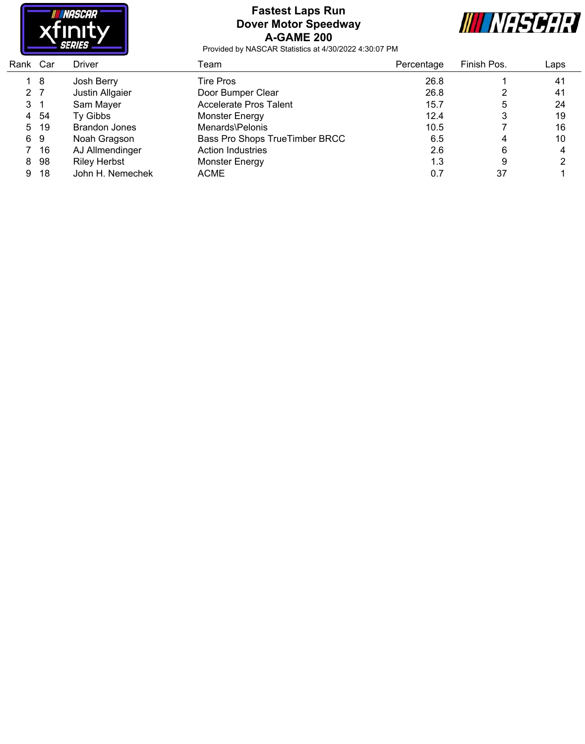

### **Fastest Laps Run Dover Motor Speedway A-GAME 200**



| Rank Car       |      | Driver               | Team                           | Percentage | Finish Pos. | Laps |
|----------------|------|----------------------|--------------------------------|------------|-------------|------|
|                | 18   | Josh Berry           | Tire Pros                      | 26.8       |             | 41   |
| 2 <sub>7</sub> |      | Justin Allgaier      | Door Bumper Clear              | 26.8       |             | 41   |
| $3 \quad 1$    |      | Sam Mayer            | <b>Accelerate Pros Talent</b>  | 15.7       | 5           | 24   |
| 4              | -54  | Ty Gibbs             | Monster Energy                 | 12.4       | 3           | 19   |
|                | 5 19 | <b>Brandon Jones</b> | Menards\Pelonis                | 10.5       |             | 16   |
|                | 69   | Noah Gragson         | Bass Pro Shops TrueTimber BRCC | 6.5        | 4           | 10   |
|                | 16   | AJ Allmendinger      | <b>Action Industries</b>       | 2.6        | 6           | 4    |
| 8              | 98   | <b>Riley Herbst</b>  | Monster Energy                 | 1.3        | 9           | ⌒    |
| 9              | 18   | John H. Nemechek     | ACME                           | 0.7        | 37          |      |
|                |      |                      |                                |            |             |      |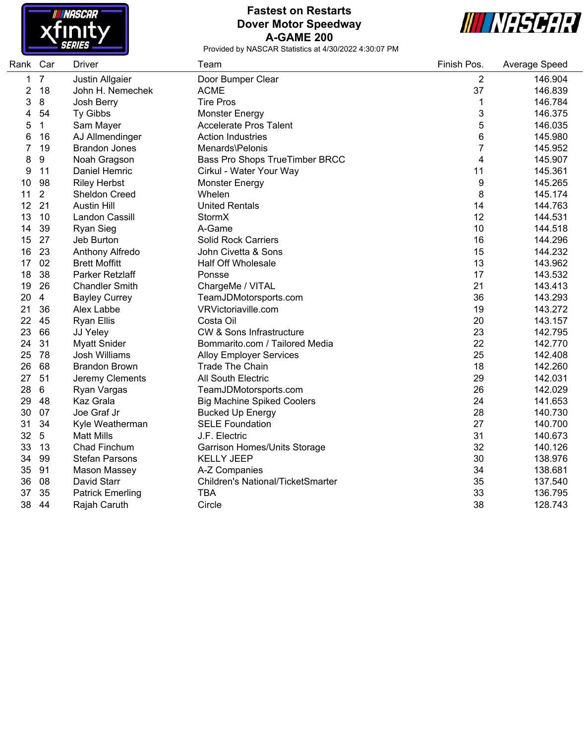

## **Fastest on Restarts Dover Motor Speedway A-GAME 200**



and a

| $\overline{7}$<br>1<br>Justin Allgaier<br>Door Bumper Clear<br>2<br>146.904<br>18<br>37<br>2<br><b>ACME</b><br>146.839<br>John H. Nemechek<br>$\bf 8$<br>3<br><b>Tire Pros</b><br>1<br>146.784<br>Josh Berry<br>3<br>54<br>4<br>Ty Gibbs<br>146.375<br><b>Monster Energy</b><br>5<br>$\mathbf{1}$<br>146.035<br>5<br>Sam Mayer<br><b>Accelerate Pros Talent</b><br>6<br>145.980<br>16<br>AJ Allmendinger<br><b>Action Industries</b><br>6<br>7<br>19<br>7<br>Menards\Pelonis<br>145.952<br><b>Brandon Jones</b><br>9<br>4<br>8<br>Bass Pro Shops TrueTimber BRCC<br>145.907<br>Noah Gragson<br>9<br>11<br>Daniel Hemric<br>11<br>145.361<br>Cirkul - Water Your Way<br>98<br>9<br>145.265<br><b>Riley Herbst</b><br>10<br><b>Monster Energy</b><br>$\overline{2}$<br>8<br>Whelen<br>145.174<br>11<br><b>Sheldon Creed</b><br>12<br>21<br>14<br>144.763<br><b>Austin Hill</b><br><b>United Rentals</b><br>12<br>13<br>10<br>Landon Cassill<br>StormX<br>144.531<br>39<br>A-Game<br>10<br>14<br><b>Ryan Sieg</b><br>144.518<br>27<br>15<br>16<br>144.296<br>Jeb Burton<br><b>Solid Rock Carriers</b><br>23<br>15<br>16<br>John Civetta & Sons<br>144.232<br>Anthony Alfredo<br>13<br>02<br>17<br><b>Brett Moffitt</b><br><b>Half Off Wholesale</b><br>143.962<br>18<br>38<br>17<br>Parker Retzlaff<br>143.532<br>Ponsse<br>19<br>26<br>21<br><b>Chandler Smith</b><br>ChargeMe / VITAL<br>143.413<br>20<br>36<br>143.293<br>4<br><b>Bayley Currey</b><br>TeamJDMotorsports.com<br>21<br>36<br>19<br>143.272<br>Alex Labbe<br>VRVictoriaville.com<br>22<br>20<br>45<br>Costa Oil<br>143.157<br><b>Ryan Ellis</b><br>23<br>66<br>23<br><b>CW &amp; Sons Infrastructure</b><br>142.795<br>JJ Yeley<br>31<br>22<br>24<br><b>Myatt Snider</b><br>Bommarito.com / Tailored Media<br>142.770<br>25<br>78<br>25<br><b>Josh Williams</b><br>142.408<br><b>Alloy Employer Services</b><br>68<br>18<br>26<br><b>Brandon Brown</b><br><b>Trade The Chain</b><br>142.260<br>27<br>51<br>29<br>Jeremy Clements<br>All South Electric<br>142.031<br>28<br>$\,6\,$<br>26<br>142.029<br>TeamJDMotorsports.com<br>Ryan Vargas<br>24<br>29<br>Kaz Grala<br>48<br>141.653<br><b>Big Machine Spiked Coolers</b><br>28<br>30<br>07<br>Joe Graf Jr<br>140.730<br><b>Bucked Up Energy</b><br>27<br>31<br>34<br><b>SELE Foundation</b><br>140.700<br>Kyle Weatherman<br>32<br>31<br>$\sqrt{5}$<br><b>Matt Mills</b><br>J.F. Electric<br>140.673<br>32<br>33<br>13<br>Chad Finchum<br>140.126<br>Garrison Homes/Units Storage<br>30<br>99<br><b>Stefan Parsons</b><br>34<br><b>KELLY JEEP</b><br>138.976<br>34<br>35<br>91<br>138.681<br>Mason Massey<br>A-Z Companies<br>35<br>36<br>08<br>David Starr<br>Children's National/TicketSmarter<br>137.540<br>35<br>33<br>37<br><b>Patrick Emerling</b><br><b>TBA</b><br>136.795<br>38<br>38<br>128.743<br>44<br>Rajah Caruth<br>Circle | Rank | Car | <b>Driver</b> | Team | Finish Pos. | Average Speed |
|----------------------------------------------------------------------------------------------------------------------------------------------------------------------------------------------------------------------------------------------------------------------------------------------------------------------------------------------------------------------------------------------------------------------------------------------------------------------------------------------------------------------------------------------------------------------------------------------------------------------------------------------------------------------------------------------------------------------------------------------------------------------------------------------------------------------------------------------------------------------------------------------------------------------------------------------------------------------------------------------------------------------------------------------------------------------------------------------------------------------------------------------------------------------------------------------------------------------------------------------------------------------------------------------------------------------------------------------------------------------------------------------------------------------------------------------------------------------------------------------------------------------------------------------------------------------------------------------------------------------------------------------------------------------------------------------------------------------------------------------------------------------------------------------------------------------------------------------------------------------------------------------------------------------------------------------------------------------------------------------------------------------------------------------------------------------------------------------------------------------------------------------------------------------------------------------------------------------------------------------------------------------------------------------------------------------------------------------------------------------------------------------------------------------------------------------------------------------------------------------------------------------------------------------------------------------------------------------------------------------------------------------------------------------------------------------------------------------------------------------------------------------------------------------------------------------------------------------------------|------|-----|---------------|------|-------------|---------------|
|                                                                                                                                                                                                                                                                                                                                                                                                                                                                                                                                                                                                                                                                                                                                                                                                                                                                                                                                                                                                                                                                                                                                                                                                                                                                                                                                                                                                                                                                                                                                                                                                                                                                                                                                                                                                                                                                                                                                                                                                                                                                                                                                                                                                                                                                                                                                                                                                                                                                                                                                                                                                                                                                                                                                                                                                                                                          |      |     |               |      |             |               |
|                                                                                                                                                                                                                                                                                                                                                                                                                                                                                                                                                                                                                                                                                                                                                                                                                                                                                                                                                                                                                                                                                                                                                                                                                                                                                                                                                                                                                                                                                                                                                                                                                                                                                                                                                                                                                                                                                                                                                                                                                                                                                                                                                                                                                                                                                                                                                                                                                                                                                                                                                                                                                                                                                                                                                                                                                                                          |      |     |               |      |             |               |
|                                                                                                                                                                                                                                                                                                                                                                                                                                                                                                                                                                                                                                                                                                                                                                                                                                                                                                                                                                                                                                                                                                                                                                                                                                                                                                                                                                                                                                                                                                                                                                                                                                                                                                                                                                                                                                                                                                                                                                                                                                                                                                                                                                                                                                                                                                                                                                                                                                                                                                                                                                                                                                                                                                                                                                                                                                                          |      |     |               |      |             |               |
|                                                                                                                                                                                                                                                                                                                                                                                                                                                                                                                                                                                                                                                                                                                                                                                                                                                                                                                                                                                                                                                                                                                                                                                                                                                                                                                                                                                                                                                                                                                                                                                                                                                                                                                                                                                                                                                                                                                                                                                                                                                                                                                                                                                                                                                                                                                                                                                                                                                                                                                                                                                                                                                                                                                                                                                                                                                          |      |     |               |      |             |               |
|                                                                                                                                                                                                                                                                                                                                                                                                                                                                                                                                                                                                                                                                                                                                                                                                                                                                                                                                                                                                                                                                                                                                                                                                                                                                                                                                                                                                                                                                                                                                                                                                                                                                                                                                                                                                                                                                                                                                                                                                                                                                                                                                                                                                                                                                                                                                                                                                                                                                                                                                                                                                                                                                                                                                                                                                                                                          |      |     |               |      |             |               |
|                                                                                                                                                                                                                                                                                                                                                                                                                                                                                                                                                                                                                                                                                                                                                                                                                                                                                                                                                                                                                                                                                                                                                                                                                                                                                                                                                                                                                                                                                                                                                                                                                                                                                                                                                                                                                                                                                                                                                                                                                                                                                                                                                                                                                                                                                                                                                                                                                                                                                                                                                                                                                                                                                                                                                                                                                                                          |      |     |               |      |             |               |
|                                                                                                                                                                                                                                                                                                                                                                                                                                                                                                                                                                                                                                                                                                                                                                                                                                                                                                                                                                                                                                                                                                                                                                                                                                                                                                                                                                                                                                                                                                                                                                                                                                                                                                                                                                                                                                                                                                                                                                                                                                                                                                                                                                                                                                                                                                                                                                                                                                                                                                                                                                                                                                                                                                                                                                                                                                                          |      |     |               |      |             |               |
|                                                                                                                                                                                                                                                                                                                                                                                                                                                                                                                                                                                                                                                                                                                                                                                                                                                                                                                                                                                                                                                                                                                                                                                                                                                                                                                                                                                                                                                                                                                                                                                                                                                                                                                                                                                                                                                                                                                                                                                                                                                                                                                                                                                                                                                                                                                                                                                                                                                                                                                                                                                                                                                                                                                                                                                                                                                          |      |     |               |      |             |               |
|                                                                                                                                                                                                                                                                                                                                                                                                                                                                                                                                                                                                                                                                                                                                                                                                                                                                                                                                                                                                                                                                                                                                                                                                                                                                                                                                                                                                                                                                                                                                                                                                                                                                                                                                                                                                                                                                                                                                                                                                                                                                                                                                                                                                                                                                                                                                                                                                                                                                                                                                                                                                                                                                                                                                                                                                                                                          |      |     |               |      |             |               |
|                                                                                                                                                                                                                                                                                                                                                                                                                                                                                                                                                                                                                                                                                                                                                                                                                                                                                                                                                                                                                                                                                                                                                                                                                                                                                                                                                                                                                                                                                                                                                                                                                                                                                                                                                                                                                                                                                                                                                                                                                                                                                                                                                                                                                                                                                                                                                                                                                                                                                                                                                                                                                                                                                                                                                                                                                                                          |      |     |               |      |             |               |
|                                                                                                                                                                                                                                                                                                                                                                                                                                                                                                                                                                                                                                                                                                                                                                                                                                                                                                                                                                                                                                                                                                                                                                                                                                                                                                                                                                                                                                                                                                                                                                                                                                                                                                                                                                                                                                                                                                                                                                                                                                                                                                                                                                                                                                                                                                                                                                                                                                                                                                                                                                                                                                                                                                                                                                                                                                                          |      |     |               |      |             |               |
|                                                                                                                                                                                                                                                                                                                                                                                                                                                                                                                                                                                                                                                                                                                                                                                                                                                                                                                                                                                                                                                                                                                                                                                                                                                                                                                                                                                                                                                                                                                                                                                                                                                                                                                                                                                                                                                                                                                                                                                                                                                                                                                                                                                                                                                                                                                                                                                                                                                                                                                                                                                                                                                                                                                                                                                                                                                          |      |     |               |      |             |               |
|                                                                                                                                                                                                                                                                                                                                                                                                                                                                                                                                                                                                                                                                                                                                                                                                                                                                                                                                                                                                                                                                                                                                                                                                                                                                                                                                                                                                                                                                                                                                                                                                                                                                                                                                                                                                                                                                                                                                                                                                                                                                                                                                                                                                                                                                                                                                                                                                                                                                                                                                                                                                                                                                                                                                                                                                                                                          |      |     |               |      |             |               |
|                                                                                                                                                                                                                                                                                                                                                                                                                                                                                                                                                                                                                                                                                                                                                                                                                                                                                                                                                                                                                                                                                                                                                                                                                                                                                                                                                                                                                                                                                                                                                                                                                                                                                                                                                                                                                                                                                                                                                                                                                                                                                                                                                                                                                                                                                                                                                                                                                                                                                                                                                                                                                                                                                                                                                                                                                                                          |      |     |               |      |             |               |
|                                                                                                                                                                                                                                                                                                                                                                                                                                                                                                                                                                                                                                                                                                                                                                                                                                                                                                                                                                                                                                                                                                                                                                                                                                                                                                                                                                                                                                                                                                                                                                                                                                                                                                                                                                                                                                                                                                                                                                                                                                                                                                                                                                                                                                                                                                                                                                                                                                                                                                                                                                                                                                                                                                                                                                                                                                                          |      |     |               |      |             |               |
|                                                                                                                                                                                                                                                                                                                                                                                                                                                                                                                                                                                                                                                                                                                                                                                                                                                                                                                                                                                                                                                                                                                                                                                                                                                                                                                                                                                                                                                                                                                                                                                                                                                                                                                                                                                                                                                                                                                                                                                                                                                                                                                                                                                                                                                                                                                                                                                                                                                                                                                                                                                                                                                                                                                                                                                                                                                          |      |     |               |      |             |               |
|                                                                                                                                                                                                                                                                                                                                                                                                                                                                                                                                                                                                                                                                                                                                                                                                                                                                                                                                                                                                                                                                                                                                                                                                                                                                                                                                                                                                                                                                                                                                                                                                                                                                                                                                                                                                                                                                                                                                                                                                                                                                                                                                                                                                                                                                                                                                                                                                                                                                                                                                                                                                                                                                                                                                                                                                                                                          |      |     |               |      |             |               |
|                                                                                                                                                                                                                                                                                                                                                                                                                                                                                                                                                                                                                                                                                                                                                                                                                                                                                                                                                                                                                                                                                                                                                                                                                                                                                                                                                                                                                                                                                                                                                                                                                                                                                                                                                                                                                                                                                                                                                                                                                                                                                                                                                                                                                                                                                                                                                                                                                                                                                                                                                                                                                                                                                                                                                                                                                                                          |      |     |               |      |             |               |
|                                                                                                                                                                                                                                                                                                                                                                                                                                                                                                                                                                                                                                                                                                                                                                                                                                                                                                                                                                                                                                                                                                                                                                                                                                                                                                                                                                                                                                                                                                                                                                                                                                                                                                                                                                                                                                                                                                                                                                                                                                                                                                                                                                                                                                                                                                                                                                                                                                                                                                                                                                                                                                                                                                                                                                                                                                                          |      |     |               |      |             |               |
|                                                                                                                                                                                                                                                                                                                                                                                                                                                                                                                                                                                                                                                                                                                                                                                                                                                                                                                                                                                                                                                                                                                                                                                                                                                                                                                                                                                                                                                                                                                                                                                                                                                                                                                                                                                                                                                                                                                                                                                                                                                                                                                                                                                                                                                                                                                                                                                                                                                                                                                                                                                                                                                                                                                                                                                                                                                          |      |     |               |      |             |               |
|                                                                                                                                                                                                                                                                                                                                                                                                                                                                                                                                                                                                                                                                                                                                                                                                                                                                                                                                                                                                                                                                                                                                                                                                                                                                                                                                                                                                                                                                                                                                                                                                                                                                                                                                                                                                                                                                                                                                                                                                                                                                                                                                                                                                                                                                                                                                                                                                                                                                                                                                                                                                                                                                                                                                                                                                                                                          |      |     |               |      |             |               |
|                                                                                                                                                                                                                                                                                                                                                                                                                                                                                                                                                                                                                                                                                                                                                                                                                                                                                                                                                                                                                                                                                                                                                                                                                                                                                                                                                                                                                                                                                                                                                                                                                                                                                                                                                                                                                                                                                                                                                                                                                                                                                                                                                                                                                                                                                                                                                                                                                                                                                                                                                                                                                                                                                                                                                                                                                                                          |      |     |               |      |             |               |
|                                                                                                                                                                                                                                                                                                                                                                                                                                                                                                                                                                                                                                                                                                                                                                                                                                                                                                                                                                                                                                                                                                                                                                                                                                                                                                                                                                                                                                                                                                                                                                                                                                                                                                                                                                                                                                                                                                                                                                                                                                                                                                                                                                                                                                                                                                                                                                                                                                                                                                                                                                                                                                                                                                                                                                                                                                                          |      |     |               |      |             |               |
|                                                                                                                                                                                                                                                                                                                                                                                                                                                                                                                                                                                                                                                                                                                                                                                                                                                                                                                                                                                                                                                                                                                                                                                                                                                                                                                                                                                                                                                                                                                                                                                                                                                                                                                                                                                                                                                                                                                                                                                                                                                                                                                                                                                                                                                                                                                                                                                                                                                                                                                                                                                                                                                                                                                                                                                                                                                          |      |     |               |      |             |               |
|                                                                                                                                                                                                                                                                                                                                                                                                                                                                                                                                                                                                                                                                                                                                                                                                                                                                                                                                                                                                                                                                                                                                                                                                                                                                                                                                                                                                                                                                                                                                                                                                                                                                                                                                                                                                                                                                                                                                                                                                                                                                                                                                                                                                                                                                                                                                                                                                                                                                                                                                                                                                                                                                                                                                                                                                                                                          |      |     |               |      |             |               |
|                                                                                                                                                                                                                                                                                                                                                                                                                                                                                                                                                                                                                                                                                                                                                                                                                                                                                                                                                                                                                                                                                                                                                                                                                                                                                                                                                                                                                                                                                                                                                                                                                                                                                                                                                                                                                                                                                                                                                                                                                                                                                                                                                                                                                                                                                                                                                                                                                                                                                                                                                                                                                                                                                                                                                                                                                                                          |      |     |               |      |             |               |
|                                                                                                                                                                                                                                                                                                                                                                                                                                                                                                                                                                                                                                                                                                                                                                                                                                                                                                                                                                                                                                                                                                                                                                                                                                                                                                                                                                                                                                                                                                                                                                                                                                                                                                                                                                                                                                                                                                                                                                                                                                                                                                                                                                                                                                                                                                                                                                                                                                                                                                                                                                                                                                                                                                                                                                                                                                                          |      |     |               |      |             |               |
|                                                                                                                                                                                                                                                                                                                                                                                                                                                                                                                                                                                                                                                                                                                                                                                                                                                                                                                                                                                                                                                                                                                                                                                                                                                                                                                                                                                                                                                                                                                                                                                                                                                                                                                                                                                                                                                                                                                                                                                                                                                                                                                                                                                                                                                                                                                                                                                                                                                                                                                                                                                                                                                                                                                                                                                                                                                          |      |     |               |      |             |               |
|                                                                                                                                                                                                                                                                                                                                                                                                                                                                                                                                                                                                                                                                                                                                                                                                                                                                                                                                                                                                                                                                                                                                                                                                                                                                                                                                                                                                                                                                                                                                                                                                                                                                                                                                                                                                                                                                                                                                                                                                                                                                                                                                                                                                                                                                                                                                                                                                                                                                                                                                                                                                                                                                                                                                                                                                                                                          |      |     |               |      |             |               |
|                                                                                                                                                                                                                                                                                                                                                                                                                                                                                                                                                                                                                                                                                                                                                                                                                                                                                                                                                                                                                                                                                                                                                                                                                                                                                                                                                                                                                                                                                                                                                                                                                                                                                                                                                                                                                                                                                                                                                                                                                                                                                                                                                                                                                                                                                                                                                                                                                                                                                                                                                                                                                                                                                                                                                                                                                                                          |      |     |               |      |             |               |
|                                                                                                                                                                                                                                                                                                                                                                                                                                                                                                                                                                                                                                                                                                                                                                                                                                                                                                                                                                                                                                                                                                                                                                                                                                                                                                                                                                                                                                                                                                                                                                                                                                                                                                                                                                                                                                                                                                                                                                                                                                                                                                                                                                                                                                                                                                                                                                                                                                                                                                                                                                                                                                                                                                                                                                                                                                                          |      |     |               |      |             |               |
|                                                                                                                                                                                                                                                                                                                                                                                                                                                                                                                                                                                                                                                                                                                                                                                                                                                                                                                                                                                                                                                                                                                                                                                                                                                                                                                                                                                                                                                                                                                                                                                                                                                                                                                                                                                                                                                                                                                                                                                                                                                                                                                                                                                                                                                                                                                                                                                                                                                                                                                                                                                                                                                                                                                                                                                                                                                          |      |     |               |      |             |               |
|                                                                                                                                                                                                                                                                                                                                                                                                                                                                                                                                                                                                                                                                                                                                                                                                                                                                                                                                                                                                                                                                                                                                                                                                                                                                                                                                                                                                                                                                                                                                                                                                                                                                                                                                                                                                                                                                                                                                                                                                                                                                                                                                                                                                                                                                                                                                                                                                                                                                                                                                                                                                                                                                                                                                                                                                                                                          |      |     |               |      |             |               |
|                                                                                                                                                                                                                                                                                                                                                                                                                                                                                                                                                                                                                                                                                                                                                                                                                                                                                                                                                                                                                                                                                                                                                                                                                                                                                                                                                                                                                                                                                                                                                                                                                                                                                                                                                                                                                                                                                                                                                                                                                                                                                                                                                                                                                                                                                                                                                                                                                                                                                                                                                                                                                                                                                                                                                                                                                                                          |      |     |               |      |             |               |
|                                                                                                                                                                                                                                                                                                                                                                                                                                                                                                                                                                                                                                                                                                                                                                                                                                                                                                                                                                                                                                                                                                                                                                                                                                                                                                                                                                                                                                                                                                                                                                                                                                                                                                                                                                                                                                                                                                                                                                                                                                                                                                                                                                                                                                                                                                                                                                                                                                                                                                                                                                                                                                                                                                                                                                                                                                                          |      |     |               |      |             |               |
|                                                                                                                                                                                                                                                                                                                                                                                                                                                                                                                                                                                                                                                                                                                                                                                                                                                                                                                                                                                                                                                                                                                                                                                                                                                                                                                                                                                                                                                                                                                                                                                                                                                                                                                                                                                                                                                                                                                                                                                                                                                                                                                                                                                                                                                                                                                                                                                                                                                                                                                                                                                                                                                                                                                                                                                                                                                          |      |     |               |      |             |               |
|                                                                                                                                                                                                                                                                                                                                                                                                                                                                                                                                                                                                                                                                                                                                                                                                                                                                                                                                                                                                                                                                                                                                                                                                                                                                                                                                                                                                                                                                                                                                                                                                                                                                                                                                                                                                                                                                                                                                                                                                                                                                                                                                                                                                                                                                                                                                                                                                                                                                                                                                                                                                                                                                                                                                                                                                                                                          |      |     |               |      |             |               |
|                                                                                                                                                                                                                                                                                                                                                                                                                                                                                                                                                                                                                                                                                                                                                                                                                                                                                                                                                                                                                                                                                                                                                                                                                                                                                                                                                                                                                                                                                                                                                                                                                                                                                                                                                                                                                                                                                                                                                                                                                                                                                                                                                                                                                                                                                                                                                                                                                                                                                                                                                                                                                                                                                                                                                                                                                                                          |      |     |               |      |             |               |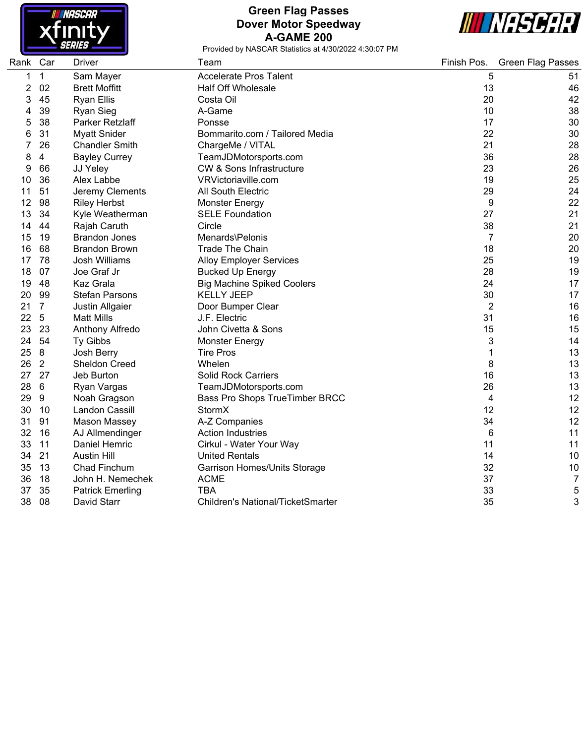

#### **Green Flag Passes Dover Motor Speedway A-GAME 200**



| Rank Car |                 | <b>Driver</b>           | Team                                     | Finish Pos.    | <b>Green Flag Passes</b> |
|----------|-----------------|-------------------------|------------------------------------------|----------------|--------------------------|
| 1        | 1               | Sam Mayer               | <b>Accelerate Pros Talent</b>            | 5              | 51                       |
| 2        | 02              | <b>Brett Moffitt</b>    | <b>Half Off Wholesale</b>                | 13             | 46                       |
| 3        | 45              | <b>Ryan Ellis</b>       | Costa Oil                                | 20             | 42                       |
| 4        | 39              | <b>Ryan Sieg</b>        | A-Game                                   | 10             | 38                       |
| 5        | 38              | Parker Retzlaff         | Ponsse                                   | 17             | 30                       |
| 6        | 31              | <b>Myatt Snider</b>     | Bommarito.com / Tailored Media           | 22             | 30                       |
|          | 26              | <b>Chandler Smith</b>   | ChargeMe / VITAL                         | 21             | 28                       |
| 8        | 4               | <b>Bayley Currey</b>    | TeamJDMotorsports.com                    | 36             | 28                       |
| 9        | 66              | JJ Yeley                | <b>CW &amp; Sons Infrastructure</b>      | 23             | 26                       |
| 10       | 36              | Alex Labbe              | VRVictoriaville.com                      | 19             | 25                       |
| 11       | 51              | Jeremy Clements         | All South Electric                       | 29             | 24                       |
| 12       | 98              | <b>Riley Herbst</b>     | <b>Monster Energy</b>                    | 9              | 22                       |
| 13       | 34              | Kyle Weatherman         | <b>SELE Foundation</b>                   | 27             | 21                       |
| 14       | 44              | Rajah Caruth            | Circle                                   | 38             | 21                       |
| 15       | 19              | <b>Brandon Jones</b>    | Menards\Pelonis                          | $\overline{7}$ | 20                       |
| 16       | 68              | <b>Brandon Brown</b>    | <b>Trade The Chain</b>                   | 18             | 20                       |
| 17       | 78              | Josh Williams           | <b>Alloy Employer Services</b>           | 25             | 19                       |
| 18       | 07              | Joe Graf Jr             | <b>Bucked Up Energy</b>                  | 28             | 19                       |
| 19       | 48              | Kaz Grala               | <b>Big Machine Spiked Coolers</b>        | 24             | 17                       |
| 20       | 99              | <b>Stefan Parsons</b>   | <b>KELLY JEEP</b>                        | 30             | 17                       |
| 21       | $\overline{7}$  | Justin Allgaier         | Door Bumper Clear                        | $\overline{2}$ | 16                       |
| 22       | 5               | <b>Matt Mills</b>       | J.F. Electric                            | 31             | 16                       |
| 23       | 23              | Anthony Alfredo         | John Civetta & Sons                      | 15             | 15                       |
| 24       | 54              | Ty Gibbs                | <b>Monster Energy</b>                    | 3              | 14                       |
| 25       | $\bf 8$         | Josh Berry              | <b>Tire Pros</b>                         | 1              | 13                       |
| 26       | $\overline{2}$  | Sheldon Creed           | Whelen                                   | 8              | 13                       |
| 27       | 27              | Jeb Burton              | <b>Solid Rock Carriers</b>               | 16             | 13                       |
| 28       | $6\phantom{1}6$ | Ryan Vargas             | TeamJDMotorsports.com                    | 26             | 13                       |
| 29       | 9               | Noah Gragson            | Bass Pro Shops TrueTimber BRCC           | 4              | 12                       |
| 30       | 10              | Landon Cassill          | StormX                                   | 12             | 12                       |
| 31       | 91              | <b>Mason Massey</b>     | A-Z Companies                            | 34             | 12                       |
| 32       | 16              | AJ Allmendinger         | <b>Action Industries</b>                 | 6              | 11                       |
| 33       | 11              | Daniel Hemric           | Cirkul - Water Your Way                  | 11             | 11                       |
| 34       | 21              | <b>Austin Hill</b>      | <b>United Rentals</b>                    | 14             | 10                       |
| 35       | 13              | Chad Finchum            | <b>Garrison Homes/Units Storage</b>      | 32             | 10                       |
| 36       | 18              | John H. Nemechek        | <b>ACME</b>                              | 37             | 7                        |
| 37       | 35              | <b>Patrick Emerling</b> | <b>TBA</b>                               | 33             | 5                        |
| 38       | 08              | David Starr             | <b>Children's National/TicketSmarter</b> | 35             | 3                        |
|          |                 |                         |                                          |                |                          |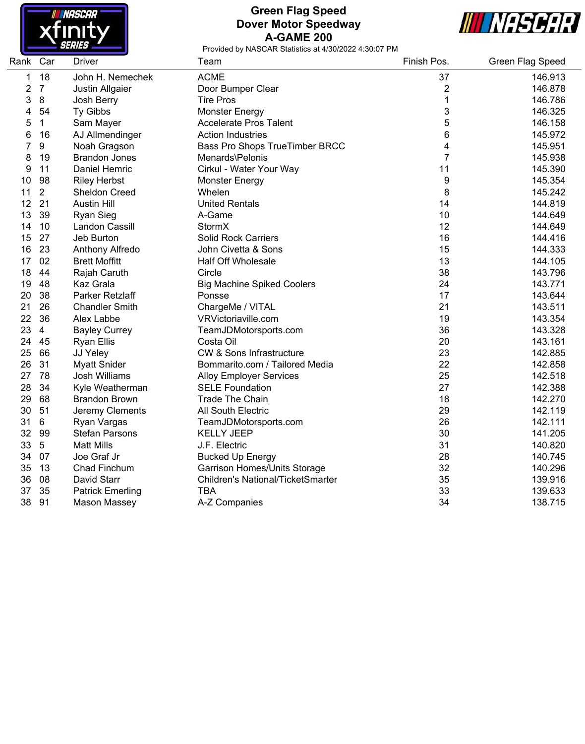

### **Green Flag Speed Dover Motor Speedway A-GAME 200**



| Rank | Car              | <b>Driver</b>           | Team                                     | Finish Pos.    | Green Flag Speed |
|------|------------------|-------------------------|------------------------------------------|----------------|------------------|
| 1    | 18               | John H. Nemechek        | <b>ACME</b>                              | 37             | 146.913          |
| 2    | $\overline{7}$   | Justin Allgaier         | Door Bumper Clear                        | 2              | 146.878          |
| 3    | $\bf 8$          | Josh Berry              | <b>Tire Pros</b>                         | 1              | 146.786          |
| 4    | 54               | Ty Gibbs                | <b>Monster Energy</b>                    | 3              | 146.325          |
| 5    | $\mathbf 1$      | Sam Mayer               | <b>Accelerate Pros Talent</b>            | 5              | 146.158          |
| 6    | 16               | AJ Allmendinger         | <b>Action Industries</b>                 | 6              | 145.972          |
| 7    | $\boldsymbol{9}$ | Noah Gragson            | Bass Pro Shops TrueTimber BRCC           | 4              | 145.951          |
| 8    | 19               | <b>Brandon Jones</b>    | Menards\Pelonis                          | $\overline{7}$ | 145.938          |
| 9    | 11               | Daniel Hemric           | Cirkul - Water Your Way                  | 11             | 145.390          |
| 10   | 98               | <b>Riley Herbst</b>     | <b>Monster Energy</b>                    | 9              | 145.354          |
| 11   | $\overline{2}$   | Sheldon Creed           | Whelen                                   | 8              | 145.242          |
| 12   | 21               | <b>Austin Hill</b>      | <b>United Rentals</b>                    | 14             | 144.819          |
| 13   | 39               | <b>Ryan Sieg</b>        | A-Game                                   | 10             | 144.649          |
| 14   | 10               | <b>Landon Cassill</b>   | StormX                                   | 12             | 144.649          |
| 15   | 27               | Jeb Burton              | <b>Solid Rock Carriers</b>               | 16             | 144.416          |
| 16   | 23               | Anthony Alfredo         | John Civetta & Sons                      | 15             | 144.333          |
| 17   | 02               | <b>Brett Moffitt</b>    | <b>Half Off Wholesale</b>                | 13             | 144.105          |
| 18   | 44               | Rajah Caruth            | Circle                                   | 38             | 143.796          |
| 19   | 48               | Kaz Grala               | <b>Big Machine Spiked Coolers</b>        | 24             | 143.771          |
| 20   | 38               | Parker Retzlaff         | Ponsse                                   | 17             | 143.644          |
| 21   | 26               | <b>Chandler Smith</b>   | ChargeMe / VITAL                         | 21             | 143.511          |
| 22   | 36               | Alex Labbe              | VRVictoriaville.com                      | 19             | 143.354          |
| 23   | $\overline{4}$   | <b>Bayley Currey</b>    | TeamJDMotorsports.com                    | 36             | 143.328          |
| 24   | 45               | <b>Ryan Ellis</b>       | Costa Oil                                | 20             | 143.161          |
| 25   | 66               | JJ Yeley                | <b>CW &amp; Sons Infrastructure</b>      | 23             | 142.885          |
| 26   | 31               | <b>Myatt Snider</b>     | Bommarito.com / Tailored Media           | 22             | 142.858          |
| 27   | 78               | Josh Williams           | <b>Alloy Employer Services</b>           | 25             | 142.518          |
| 28   | 34               | Kyle Weatherman         | <b>SELE Foundation</b>                   | 27             | 142.388          |
| 29   | 68               | <b>Brandon Brown</b>    | <b>Trade The Chain</b>                   | 18             | 142.270          |
| 30   | 51               | Jeremy Clements         | All South Electric                       | 29             | 142.119          |
| 31   | 6                | Ryan Vargas             | TeamJDMotorsports.com                    | 26             | 142.111          |
| 32   | 99               | <b>Stefan Parsons</b>   | <b>KELLY JEEP</b>                        | 30             | 141.205          |
| 33   | $\sqrt{5}$       | <b>Matt Mills</b>       | J.F. Electric                            | 31             | 140.820          |
| 34   | 07               | Joe Graf Jr             | <b>Bucked Up Energy</b>                  | 28             | 140.745          |
| 35   | 13               | Chad Finchum            | Garrison Homes/Units Storage             | 32             | 140.296          |
| 36   | 08               | David Starr             | <b>Children's National/TicketSmarter</b> | 35             | 139.916          |
| 37   | 35               | <b>Patrick Emerling</b> | <b>TBA</b>                               | 33             | 139.633          |
| 38   | 91               | <b>Mason Massey</b>     | A-Z Companies                            | 34             | 138.715          |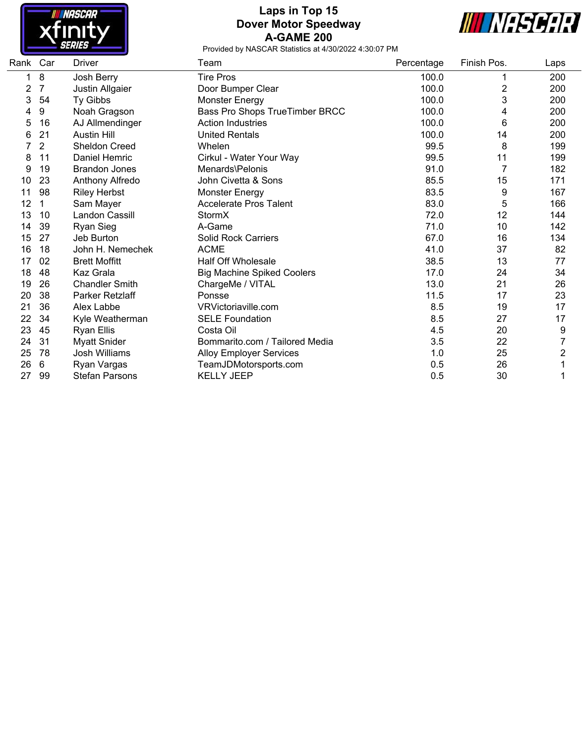

# **Laps in Top 15 Dover Motor Speedway A-GAME 200**



| Rank Car |    | <b>Driver</b>         | Team                              | Percentage | Finish Pos.    | Laps |
|----------|----|-----------------------|-----------------------------------|------------|----------------|------|
|          | 8  | Josh Berry            | <b>Tire Pros</b>                  | 100.0      |                | 200  |
| 2        | 7  | Justin Allgaier       | Door Bumper Clear                 | 100.0      | $\overline{2}$ | 200  |
| 3        | 54 | Ty Gibbs              | <b>Monster Energy</b>             | 100.0      | 3              | 200  |
| 4        | 9  | Noah Gragson          | Bass Pro Shops TrueTimber BRCC    | 100.0      | 4              | 200  |
| 5        | 16 | AJ Allmendinger       | <b>Action Industries</b>          | 100.0      | 6              | 200  |
| 6        | 21 | <b>Austin Hill</b>    | <b>United Rentals</b>             | 100.0      | 14             | 200  |
|          | 2  | <b>Sheldon Creed</b>  | Whelen                            | 99.5       | 8              | 199  |
| 8        | 11 | Daniel Hemric         | Cirkul - Water Your Way           | 99.5       | 11             | 199  |
| 9        | 19 | <b>Brandon Jones</b>  | Menards\Pelonis                   | 91.0       |                | 182  |
| 10       | 23 | Anthony Alfredo       | John Civetta & Sons               | 85.5       | 15             | 171  |
| 11       | 98 | <b>Riley Herbst</b>   | <b>Monster Energy</b>             | 83.5       | 9              | 167  |
| 12       | 1  | Sam Mayer             | <b>Accelerate Pros Talent</b>     | 83.0       | 5              | 166  |
| 13       | 10 | Landon Cassill        | StormX                            | 72.0       | 12             | 144  |
| 14       | 39 | Ryan Sieg             | A-Game                            | 71.0       | 10             | 142  |
| 15       | 27 | Jeb Burton            | <b>Solid Rock Carriers</b>        | 67.0       | 16             | 134  |
| 16       | 18 | John H. Nemechek      | <b>ACME</b>                       | 41.0       | 37             | 82   |
| 17       | 02 | <b>Brett Moffitt</b>  | <b>Half Off Wholesale</b>         | 38.5       | 13             | 77   |
| 18       | 48 | Kaz Grala             | <b>Big Machine Spiked Coolers</b> | 17.0       | 24             | 34   |
| 19       | 26 | <b>Chandler Smith</b> | ChargeMe / VITAL                  | 13.0       | 21             | 26   |
| 20       | 38 | Parker Retzlaff       | Ponsse                            | 11.5       | 17             | 23   |
| 21       | 36 | Alex Labbe            | VRVictoriaville.com               | 8.5        | 19             | 17   |
| 22       | 34 | Kyle Weatherman       | <b>SELE Foundation</b>            | 8.5        | 27             | 17   |
| 23       | 45 | <b>Ryan Ellis</b>     | Costa Oil                         | 4.5        | 20             | 9    |
| 24       | 31 | <b>Myatt Snider</b>   | Bommarito.com / Tailored Media    | 3.5        | 22             | 7    |
| 25       | 78 | Josh Williams         | <b>Alloy Employer Services</b>    | 1.0        | 25             | 2    |
| 26       | 6  | Ryan Vargas           | TeamJDMotorsports.com             | 0.5        | 26             |      |
| 27       | 99 | <b>Stefan Parsons</b> | <b>KELLY JEEP</b>                 | 0.5        | 30             |      |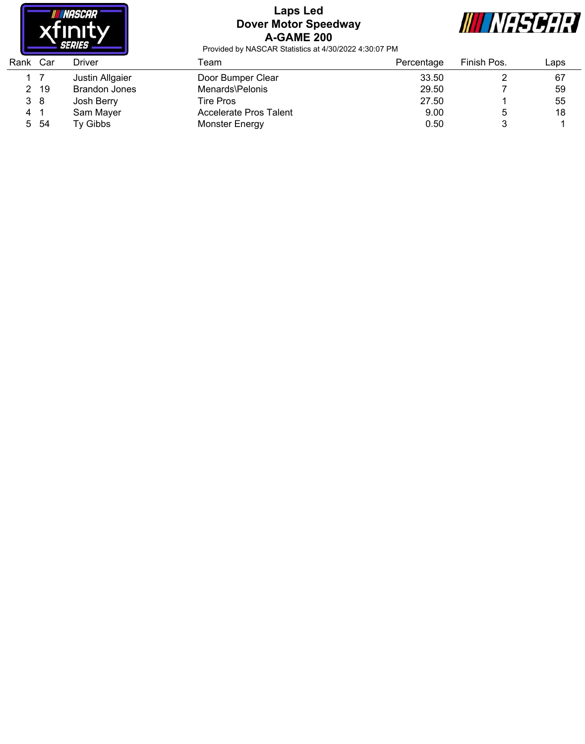

## **Laps Led Dover Motor Speedway A-GAME 200**



| Rank | Car  | Driver          | Геаm                   | Percentage | Finish Pos. | ∟aps |
|------|------|-----------------|------------------------|------------|-------------|------|
|      |      | Justin Allgaier | Door Bumper Clear      | 33.50      |             | 67   |
| 2    | -19  | Brandon Jones   | Menards\Pelonis        | 29.50      |             | 59   |
| 3 8  |      | Josh Berry      | Tire Pros              | 27.50      |             | 55   |
| 4    |      | Sam Mayer       | Accelerate Pros Talent | 9.00       |             | 18   |
|      | 5 54 | Ty Gibbs        | <b>Monster Energy</b>  | 0.50       |             |      |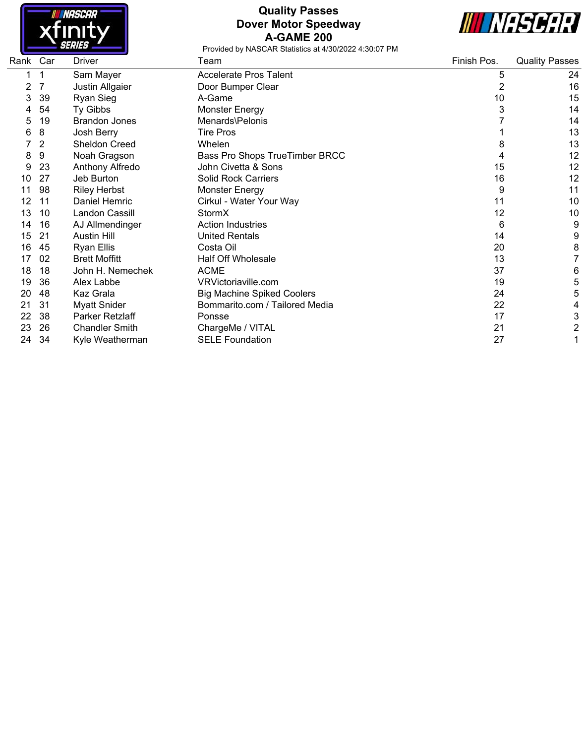

## **Quality Passes Dover Motor Speedway A-GAME 200**



| Rank | Car            | Driver                | Team                              | Finish Pos. | <b>Quality Passes</b> |
|------|----------------|-----------------------|-----------------------------------|-------------|-----------------------|
|      |                | Sam Mayer             | <b>Accelerate Pros Talent</b>     | 5           | 24                    |
| 2    |                | Justin Allgaier       | Door Bumper Clear                 | 2           | 16                    |
| 3    | 39             | Ryan Sieg             | A-Game                            | 10          | 15                    |
|      | 54             | Ty Gibbs              | <b>Monster Energy</b>             | 3           | 14                    |
| 5    | 19             | <b>Brandon Jones</b>  | Menards\Pelonis                   |             | 14                    |
| 6    | 8              | Josh Berry            | <b>Tire Pros</b>                  |             | 13                    |
|      | $\overline{2}$ | <b>Sheldon Creed</b>  | Whelen                            | 8           | 13                    |
| 8    | 9              | Noah Gragson          | Bass Pro Shops TrueTimber BRCC    | 4           | 12                    |
| 9    | 23             | Anthony Alfredo       | John Civetta & Sons               | 15          | 12                    |
| 10   | 27             | Jeb Burton            | <b>Solid Rock Carriers</b>        | 16          | 12                    |
| 11   | 98             | <b>Riley Herbst</b>   | <b>Monster Energy</b>             | 9           | 11                    |
| 12   | 11             | Daniel Hemric         | Cirkul - Water Your Way           | 11          | 10                    |
| 13   | 10             | Landon Cassill        | StormX                            | 12          | 10                    |
| 14   | 16             | AJ Allmendinger       | <b>Action Industries</b>          | 6           | 9                     |
| 15   | 21             | <b>Austin Hill</b>    | <b>United Rentals</b>             | 14          | 9                     |
| 16   | 45             | Ryan Ellis            | Costa Oil                         | 20          | 8                     |
| 17   | 02             | <b>Brett Moffitt</b>  | <b>Half Off Wholesale</b>         | 13          | 7                     |
| 18   | 18             | John H. Nemechek      | <b>ACME</b>                       | 37          | 6                     |
| 19   | 36             | Alex Labbe            | VRVictoriaville.com               | 19          | 5                     |
| 20   | 48             | Kaz Grala             | <b>Big Machine Spiked Coolers</b> | 24          | 5                     |
| 21   | 31             | <b>Myatt Snider</b>   | Bommarito.com / Tailored Media    | 22          | 4                     |
| 22   | 38             | Parker Retzlaff       | Ponsse                            | 17          | 3                     |
| 23   | 26             | <b>Chandler Smith</b> | ChargeMe / VITAL                  | 21          | $\overline{2}$        |
| 24   | 34             | Kyle Weatherman       | <b>SELE Foundation</b>            | 27          |                       |
|      |                |                       |                                   |             |                       |